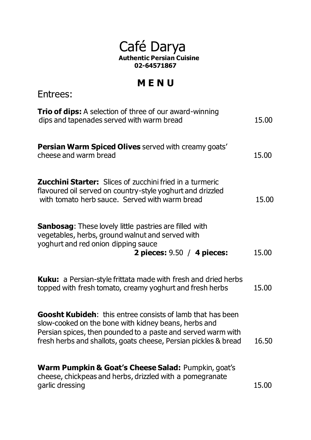## Café Darya  **Authentic Persian Cuisine 02-64571867**

## **M E N U**

Entrees:

| <b>Trio of dips:</b> A selection of three of our award-winning<br>dips and tapenades served with warm bread                                                                                                                                                  | 15.00 |
|--------------------------------------------------------------------------------------------------------------------------------------------------------------------------------------------------------------------------------------------------------------|-------|
| <b>Persian Warm Spiced Olives</b> served with creamy goats'<br>cheese and warm bread                                                                                                                                                                         | 15.00 |
| <b>Zucchini Starter:</b> Slices of zucchini fried in a turmeric<br>flavoured oil served on country-style yoghurt and drizzled<br>with tomato herb sauce. Served with warm bread                                                                              | 15.00 |
| <b>Sanbosag:</b> These lovely little pastries are filled with<br>vegetables, herbs, ground walnut and served with<br>yoghurt and red onion dipping sauce<br>2 pieces: $9.50 / 4$ pieces:                                                                     | 15.00 |
| <b>Kuku:</b> a Persian-style frittata made with fresh and dried herbs<br>topped with fresh tomato, creamy yoghurt and fresh herbs                                                                                                                            | 15.00 |
| <b>Goosht Kubideh:</b> this entree consists of lamb that has been<br>slow-cooked on the bone with kidney beans, herbs and<br>Persian spices, then pounded to a paste and served warm with<br>fresh herbs and shallots, goats cheese, Persian pickles & bread | 16.50 |
| <b>Warm Pumpkin &amp; Goat's Cheese Salad: Pumpkin, goat's</b><br>cheese, chickpeas and herbs, drizzled with a pomegranate<br>garlic dressing                                                                                                                | 15.00 |